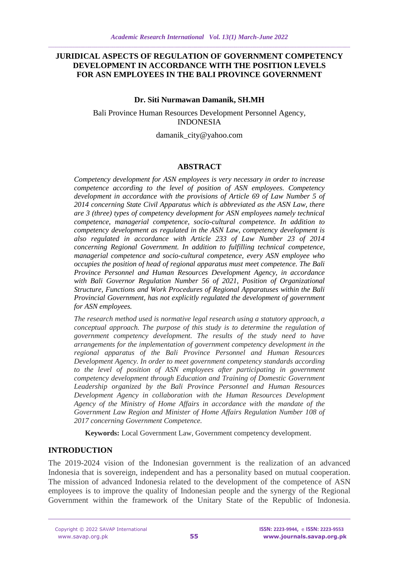#### **JURIDICAL ASPECTS OF REGULATION OF GOVERNMENT COMPETENCY DEVELOPMENT IN ACCORDANCE WITH THE POSITION LEVELS FOR ASN EMPLOYEES IN THE BALI PROVINCE GOVERNMENT**

#### **Dr. Siti Nurmawan Damanik, SH.MH**

Bali Province Human Resources Development Personnel Agency, INDONESIA

damanik\_city@yahoo.com

#### **ABSTRACT**

*Competency development for ASN employees is very necessary in order to increase competence according to the level of position of ASN employees. Competency development in accordance with the provisions of Article 69 of Law Number 5 of 2014 concerning State Civil Apparatus which is abbreviated as the ASN Law, there are 3 (three) types of competency development for ASN employees namely technical competence, managerial competence, socio-cultural competence. In addition to competency development as regulated in the ASN Law, competency development is also regulated in accordance with Article 233 of Law Number 23 of 2014 concerning Regional Government. In addition to fulfilling technical competence, managerial competence and socio-cultural competence, every ASN employee who occupies the position of head of regional apparatus must meet competence. The Bali Province Personnel and Human Resources Development Agency, in accordance with Bali Governor Regulation Number 56 of 2021, Position of Organizational Structure, Functions and Work Procedures of Regional Apparatuses within the Bali Provincial Government, has not explicitly regulated the development of government for ASN employees.*

*The research method used is normative legal research using a statutory approach, a conceptual approach. The purpose of this study is to determine the regulation of government competency development. The results of the study need to have arrangements for the implementation of government competency development in the regional apparatus of the Bali Province Personnel and Human Resources Development Agency. In order to meet government competency standards according to the level of position of ASN employees after participating in government competency development through Education and Training of Domestic Government Leadership organized by the Bali Province Personnel and Human Resources Development Agency in collaboration with the Human Resources Development Agency of the Ministry of Home Affairs in accordance with the mandate of the Government Law Region and Minister of Home Affairs Regulation Number 108 of 2017 concerning Government Competence.*

**Keywords:** Local Government Law, Government competency development.

#### **INTRODUCTION**

The 2019-2024 vision of the Indonesian government is the realization of an advanced Indonesia that is sovereign, independent and has a personality based on mutual cooperation. The mission of advanced Indonesia related to the development of the competence of ASN employees is to improve the quality of Indonesian people and the synergy of the Regional Government within the framework of the Unitary State of the Republic of Indonesia.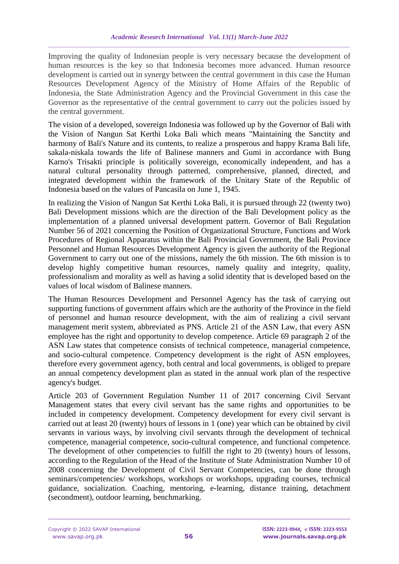Improving the quality of Indonesian people is very necessary because the development of human resources is the key so that Indonesia becomes more advanced. Human resource development is carried out in synergy between the central government in this case the Human Resources Development Agency of the Ministry of Home Affairs of the Republic of Indonesia, the State Administration Agency and the Provincial Government in this case the Governor as the representative of the central government to carry out the policies issued by the central government.

The vision of a developed, sovereign Indonesia was followed up by the Governor of Bali with the Vision of Nangun Sat Kerthi Loka Bali which means "Maintaining the Sanctity and harmony of Bali's Nature and its contents, to realize a prosperous and happy Krama Bali life, sakala-niskala towards the life of Balinese manners and Gumi in accordance with Bung Karno's Trisakti principle is politically sovereign, economically independent, and has a natural cultural personality through patterned, comprehensive, planned, directed, and integrated development within the framework of the Unitary State of the Republic of Indonesia based on the values of Pancasila on June 1, 1945.

In realizing the Vision of Nangun Sat Kerthi Loka Bali, it is pursued through 22 (twenty two) Bali Development missions which are the direction of the Bali Development policy as the implementation of a planned universal development pattern. Governor of Bali Regulation Number 56 of 2021 concerning the Position of Organizational Structure, Functions and Work Procedures of Regional Apparatus within the Bali Provincial Government, the Bali Province Personnel and Human Resources Development Agency is given the authority of the Regional Government to carry out one of the missions, namely the 6th mission. The 6th mission is to develop highly competitive human resources, namely quality and integrity, quality, professionalism and morality as well as having a solid identity that is developed based on the values of local wisdom of Balinese manners.

The Human Resources Development and Personnel Agency has the task of carrying out supporting functions of government affairs which are the authority of the Province in the field of personnel and human resource development, with the aim of realizing a civil servant management merit system, abbreviated as PNS. Article 21 of the ASN Law, that every ASN employee has the right and opportunity to develop competence. Article 69 paragraph 2 of the ASN Law states that competence consists of technical competence, managerial competence, and socio-cultural competence. Competency development is the right of ASN employees, therefore every government agency, both central and local governments, is obliged to prepare an annual competency development plan as stated in the annual work plan of the respective agency's budget.

Article 203 of Government Regulation Number 11 of 2017 concerning Civil Servant Management states that every civil servant has the same rights and opportunities to be included in competency development. Competency development for every civil servant is carried out at least 20 (twenty) hours of lessons in 1 (one) year which can be obtained by civil servants in various ways, by involving civil servants through the development of technical competence, managerial competence, socio-cultural competence, and functional competence. The development of other competencies to fulfill the right to 20 (twenty) hours of lessons, according to the Regulation of the Head of the Institute of State Administration Number 10 of 2008 concerning the Development of Civil Servant Competencies, can be done through seminars/competencies/ workshops, workshops or workshops, upgrading courses, technical guidance, socialization. Coaching, mentoring, e-learning, distance training, detachment (secondment), outdoor learning, benchmarking.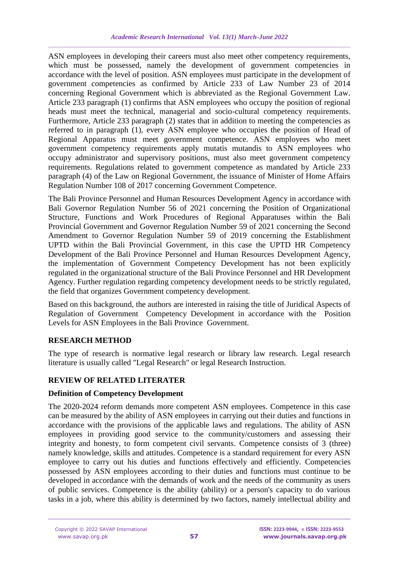ASN employees in developing their careers must also meet other competency requirements, which must be possessed, namely the development of government competencies in accordance with the level of position. ASN employees must participate in the development of government competencies as confirmed by Article 233 of Law Number 23 of 2014 concerning Regional Government which is abbreviated as the Regional Government Law. Article 233 paragraph (1) confirms that ASN employees who occupy the position of regional heads must meet the technical, managerial and socio-cultural competency requirements. Furthermore, Article 233 paragraph (2) states that in addition to meeting the competencies as referred to in paragraph (1), every ASN employee who occupies the position of Head of Regional Apparatus must meet government competence. ASN employees who meet government competency requirements apply mutatis mutandis to ASN employees who occupy administrator and supervisory positions, must also meet government competency requirements. Regulations related to government competence as mandated by Article 233 paragraph (4) of the Law on Regional Government, the issuance of Minister of Home Affairs Regulation Number 108 of 2017 concerning Government Competence.

The Bali Province Personnel and Human Resources Development Agency in accordance with Bali Governor Regulation Number 56 of 2021 concerning the Position of Organizational Structure, Functions and Work Procedures of Regional Apparatuses within the Bali Provincial Government and Governor Regulation Number 59 of 2021 concerning the Second Amendment to Governor Regulation Number 59 of 2019 concerning the Establishment UPTD within the Bali Provincial Government, in this case the UPTD HR Competency Development of the Bali Province Personnel and Human Resources Development Agency, the implementation of Government Competency Development has not been explicitly regulated in the organizational structure of the Bali Province Personnel and HR Development Agency. Further regulation regarding competency development needs to be strictly regulated, the field that organizes Government competency development.

Based on this background, the authors are interested in raising the title of Juridical Aspects of Regulation of Government Competency Development in accordance with the Position Levels for ASN Employees in the Bali Province Government.

## **RESEARCH METHOD**

The type of research is normative legal research or library law research. Legal research literature is usually called "Legal Research" or legal Research Instruction.

## **REVIEW OF RELATED LITERATER**

## **Definition of Competency Development**

The 2020-2024 reform demands more competent ASN employees. Competence in this case can be measured by the ability of ASN employees in carrying out their duties and functions in accordance with the provisions of the applicable laws and regulations. The ability of ASN employees in providing good service to the community/customers and assessing their integrity and honesty, to form competent civil servants. Competence consists of 3 (three) namely knowledge, skills and attitudes. Competence is a standard requirement for every ASN employee to carry out his duties and functions effectively and efficiently. Competencies possessed by ASN employees according to their duties and functions must continue to be developed in accordance with the demands of work and the needs of the community as users of public services. Competence is the ability (ability) or a person's capacity to do various tasks in a job, where this ability is determined by two factors, namely intellectual ability and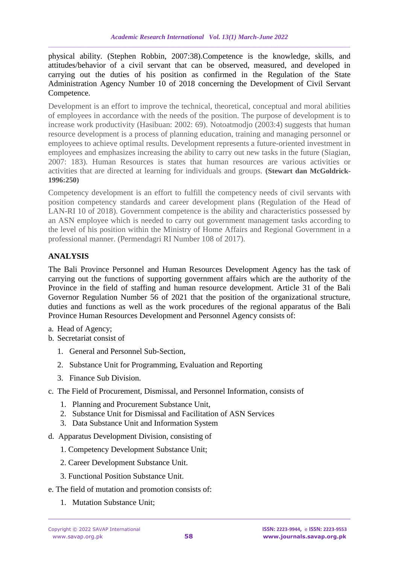physical ability. (Stephen Robbin, 2007:38).Competence is the knowledge, skills, and attitudes/behavior of a civil servant that can be observed, measured, and developed in carrying out the duties of his position as confirmed in the Regulation of the State Administration Agency Number 10 of 2018 concerning the Development of Civil Servant Competence.

Development is an effort to improve the technical, theoretical, conceptual and moral abilities of employees in accordance with the needs of the position. The purpose of development is to increase work productivity (Hasibuan: 2002: 69). Notoatmodjo (2003:4) suggests that human resource development is a process of planning education, training and managing personnel or employees to achieve optimal results. Development represents a future-oriented investment in employees and emphasizes increasing the ability to carry out new tasks in the future (Siagian, 2007: 183). Human Resources is states that human resources are various activities or activities that are directed at learning for individuals and groups. **(Stewart dan McGoldrick-1996:250)**

Competency development is an effort to fulfill the competency needs of civil servants with position competency standards and career development plans (Regulation of the Head of LAN-RI 10 of 2018). Government competence is the ability and characteristics possessed by an ASN employee which is needed to carry out government management tasks according to the level of his position within the Ministry of Home Affairs and Regional Government in a professional manner. (Permendagri RI Number 108 of 2017).

# **ANALYSIS**

The Bali Province Personnel and Human Resources Development Agency has the task of carrying out the functions of supporting government affairs which are the authority of the Province in the field of staffing and human resource development. Article 31 of the Bali Governor Regulation Number 56 of 2021 that the position of the organizational structure, duties and functions as well as the work procedures of the regional apparatus of the Bali Province Human Resources Development and Personnel Agency consists of:

- a. Head of Agency;
- b. Secretariat consist of
	- 1. General and Personnel Sub-Section,
	- 2. Substance Unit for Programming, Evaluation and Reporting
	- 3. Finance Sub Division.
- c. The Field of Procurement, Dismissal, and Personnel Information, consists of
	- 1. Planning and Procurement Substance Unit,
	- 2. Substance Unit for Dismissal and Facilitation of ASN Services
	- 3. Data Substance Unit and Information System
- d. Apparatus Development Division, consisting of
	- 1. Competency Development Substance Unit;
	- 2. Career Development Substance Unit.
	- 3. Functional Position Substance Unit.
- e. The field of mutation and promotion consists of:
	- 1. Mutation Substance Unit;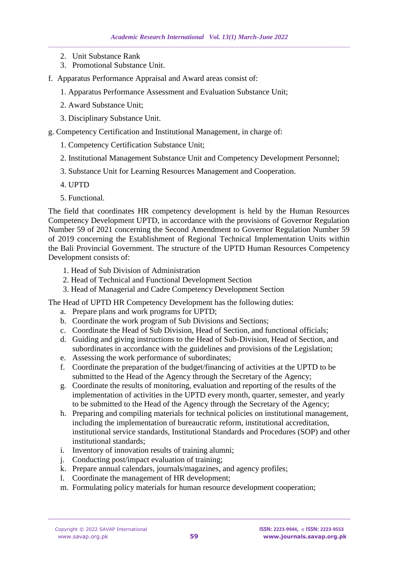- 2. Unit Substance Rank
- 3. Promotional Substance Unit.
- f. Apparatus Performance Appraisal and Award areas consist of:
	- 1. Apparatus Performance Assessment and Evaluation Substance Unit;
	- 2. Award Substance Unit;
	- 3. Disciplinary Substance Unit.
- g. Competency Certification and Institutional Management, in charge of:
	- 1. Competency Certification Substance Unit;
	- 2. Institutional Management Substance Unit and Competency Development Personnel;
	- 3. Substance Unit for Learning Resources Management and Cooperation.
	- 4. UPTD
	- 5. Functional.

The field that coordinates HR competency development is held by the Human Resources Competency Development UPTD, in accordance with the provisions of Governor Regulation Number 59 of 2021 concerning the Second Amendment to Governor Regulation Number 59 of 2019 concerning the Establishment of Regional Technical Implementation Units within the Bali Provincial Government. The structure of the UPTD Human Resources Competency Development consists of:

- 1. Head of Sub Division of Administration
- 2. Head of Technical and Functional Development Section
- 3. Head of Managerial and Cadre Competency Development Section

The Head of UPTD HR Competency Development has the following duties:

- a. Prepare plans and work programs for UPTD;
- b. Coordinate the work program of Sub Divisions and Sections;
- c. Coordinate the Head of Sub Division, Head of Section, and functional officials;
- d. Guiding and giving instructions to the Head of Sub-Division, Head of Section, and subordinates in accordance with the guidelines and provisions of the Legislation;
- e. Assessing the work performance of subordinates;
- f. Coordinate the preparation of the budget/financing of activities at the UPTD to be submitted to the Head of the Agency through the Secretary of the Agency;
- g. Coordinate the results of monitoring, evaluation and reporting of the results of the implementation of activities in the UPTD every month, quarter, semester, and yearly to be submitted to the Head of the Agency through the Secretary of the Agency;
- h. Preparing and compiling materials for technical policies on institutional management, including the implementation of bureaucratic reform, institutional accreditation, institutional service standards, Institutional Standards and Procedures (SOP) and other institutional standards;
- i. Inventory of innovation results of training alumni;
- j. Conducting post/impact evaluation of training;
- k. Prepare annual calendars, journals/magazines, and agency profiles;
- l. Coordinate the management of HR development;
- m. Formulating policy materials for human resource development cooperation;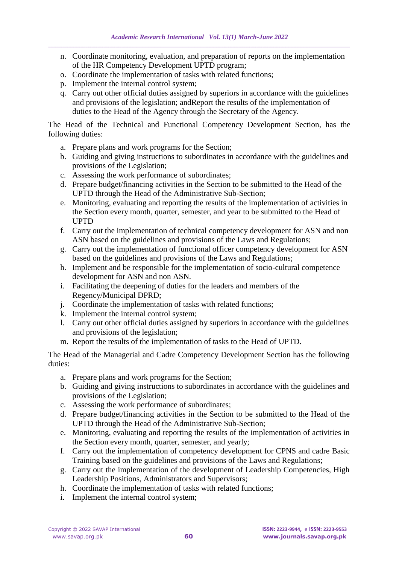- n. Coordinate monitoring, evaluation, and preparation of reports on the implementation of the HR Competency Development UPTD program;
- o. Coordinate the implementation of tasks with related functions;
- p. Implement the internal control system;
- q. Carry out other official duties assigned by superiors in accordance with the guidelines and provisions of the legislation; andReport the results of the implementation of duties to the Head of the Agency through the Secretary of the Agency.

The Head of the Technical and Functional Competency Development Section, has the following duties:

- a. Prepare plans and work programs for the Section;
- b. Guiding and giving instructions to subordinates in accordance with the guidelines and provisions of the Legislation;
- c. Assessing the work performance of subordinates;
- d. Prepare budget/financing activities in the Section to be submitted to the Head of the UPTD through the Head of the Administrative Sub-Section;
- e. Monitoring, evaluating and reporting the results of the implementation of activities in the Section every month, quarter, semester, and year to be submitted to the Head of UPTD
- f. Carry out the implementation of technical competency development for ASN and non ASN based on the guidelines and provisions of the Laws and Regulations;
- g. Carry out the implementation of functional officer competency development for ASN based on the guidelines and provisions of the Laws and Regulations;
- h. Implement and be responsible for the implementation of socio-cultural competence development for ASN and non ASN.
- i. Facilitating the deepening of duties for the leaders and members of the Regency/Municipal DPRD;
- j. Coordinate the implementation of tasks with related functions;
- k. Implement the internal control system;
- l. Carry out other official duties assigned by superiors in accordance with the guidelines and provisions of the legislation;
- m. Report the results of the implementation of tasks to the Head of UPTD.

The Head of the Managerial and Cadre Competency Development Section has the following duties:

- a. Prepare plans and work programs for the Section;
- b. Guiding and giving instructions to subordinates in accordance with the guidelines and provisions of the Legislation;
- c. Assessing the work performance of subordinates;
- d. Prepare budget/financing activities in the Section to be submitted to the Head of the UPTD through the Head of the Administrative Sub-Section;
- e. Monitoring, evaluating and reporting the results of the implementation of activities in the Section every month, quarter, semester, and yearly;
- f. Carry out the implementation of competency development for CPNS and cadre Basic Training based on the guidelines and provisions of the Laws and Regulations;
- g. Carry out the implementation of the development of Leadership Competencies, High Leadership Positions, Administrators and Supervisors;
- h. Coordinate the implementation of tasks with related functions;
- i. Implement the internal control system;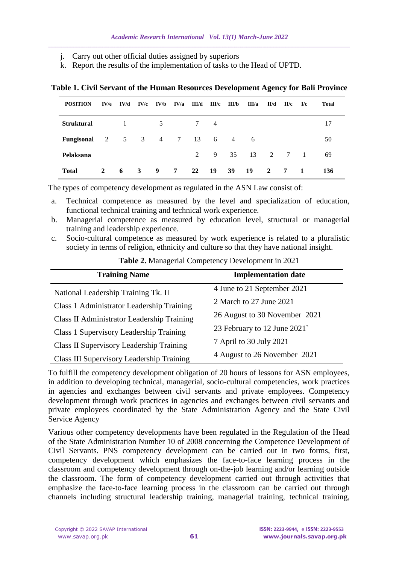- j. Carry out other official duties assigned by superiors
- k. Report the results of the implementation of tasks to the Head of UPTD.

| <b>POSITION</b>   | IV/e | IVM          | IV/c | IV/b           | IV/a       | III/d       | III/c          | III/b          | III/a | II/d         | II/c | I/c            | <b>Total</b> |
|-------------------|------|--------------|------|----------------|------------|-------------|----------------|----------------|-------|--------------|------|----------------|--------------|
| <b>Struktural</b> |      | $\mathbf{1}$ |      | 5              |            | 7           | $\overline{4}$ |                |       |              |      |                | 17           |
| Fungisonal        | 2    | 5            | 3    | $\overline{4}$ | $7\degree$ | 13          | 6              | $\overline{4}$ | - 6   |              |      |                | 50           |
| Pelaksana         |      |              |      |                |            | $2^{\circ}$ | 9              | 35             | 13    | 2            | 7    | $\overline{1}$ | 69           |
| <b>Total</b>      | 2    | 6            | 3    | 9              | 7          | 22          | -19            | 39             | 19    | $\mathbf{2}$ | 7    | -1             | 136          |

**Table 1. Civil Servant of the Human Resources Development Agency for Bali Province**

The types of competency development as regulated in the ASN Law consist of:

- a. Technical competence as measured by the level and specialization of education, functional technical training and technical work experience.
- b. Managerial competence as measured by education level, structural or managerial training and leadership experience.
- c. Socio-cultural competence as measured by work experience is related to a pluralistic society in terms of religion, ethnicity and culture so that they have national insight.

| Table 2. Managerial Competency Development in 2021 |
|----------------------------------------------------|
|----------------------------------------------------|

| <b>Training Name</b>                       | <b>Implementation date</b>                              |  |  |  |  |
|--------------------------------------------|---------------------------------------------------------|--|--|--|--|
| National Leadership Training Tk. II        | 4 June to 21 September 2021                             |  |  |  |  |
| Class 1 Administrator Leadership Training  | 2 March to 27 June 2021                                 |  |  |  |  |
| Class II Administrator Leadership Training | 26 August to 30 November 2021                           |  |  |  |  |
| Class 1 Supervisory Leadership Training    | 23 February to 12 June 2021                             |  |  |  |  |
| Class II Supervisory Leadership Training   | 7 April to 30 July 2021<br>4 August to 26 November 2021 |  |  |  |  |
| Class III Supervisory Leadership Training  |                                                         |  |  |  |  |

To fulfill the competency development obligation of 20 hours of lessons for ASN employees, in addition to developing technical, managerial, socio-cultural competencies, work practices in agencies and exchanges between civil servants and private employees. Competency development through work practices in agencies and exchanges between civil servants and private employees coordinated by the State Administration Agency and the State Civil Service Agency

Various other competency developments have been regulated in the Regulation of the Head of the State Administration Number 10 of 2008 concerning the Competence Development of Civil Servants. PNS competency development can be carried out in two forms, first, competency development which emphasizes the face-to-face learning process in the classroom and competency development through on-the-job learning and/or learning outside the classroom. The form of competency development carried out through activities that emphasize the face-to-face learning process in the classroom can be carried out through channels including structural leadership training, managerial training, technical training,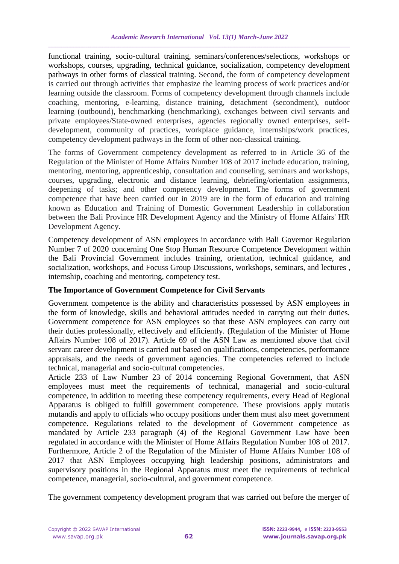functional training, socio-cultural training, seminars/conferences/selections, workshops or workshops, courses, upgrading, technical guidance, socialization, competency development pathways in other forms of classical training. Second, the form of competency development is carried out through activities that emphasize the learning process of work practices and/or learning outside the classroom. Forms of competency development through channels include coaching, mentoring, e-learning, distance training, detachment (secondment), outdoor learning (outbound), benchmarking (benchmarking), exchanges between civil servants and private employees/State-owned enterprises, agencies regionally owned enterprises, selfdevelopment, community of practices, workplace guidance, internships/work practices, competency development pathways in the form of other non-classical training.

The forms of Government competency development as referred to in Article 36 of the Regulation of the Minister of Home Affairs Number 108 of 2017 include education, training, mentoring, mentoring, apprenticeship, consultation and counseling, seminars and workshops, courses, upgrading, electronic and distance learning, debriefing/orientation assignments, deepening of tasks; and other competency development. The forms of government competence that have been carried out in 2019 are in the form of education and training known as Education and Training of Domestic Government Leadership in collaboration between the Bali Province HR Development Agency and the Ministry of Home Affairs' HR Development Agency.

Competency development of ASN employees in accordance with Bali Governor Regulation Number 7 of 2020 concerning One Stop Human Resource Competence Development within the Bali Provincial Government includes training, orientation, technical guidance, and socialization, workshops, and Focuss Group Discussions, workshops, seminars, and lectures , internship, coaching and mentoring, competency test.

## **The Importance of Government Competence for Civil Servants**

Government competence is the ability and characteristics possessed by ASN employees in the form of knowledge, skills and behavioral attitudes needed in carrying out their duties. Government competence for ASN employees so that these ASN employees can carry out their duties professionally, effectively and efficiently. (Regulation of the Minister of Home Affairs Number 108 of 2017). Article 69 of the ASN Law as mentioned above that civil servant career development is carried out based on qualifications, competencies, performance appraisals, and the needs of government agencies. The competencies referred to include technical, managerial and socio-cultural competencies.

Article 233 of Law Number 23 of 2014 concerning Regional Government, that ASN employees must meet the requirements of technical, managerial and socio-cultural competence, in addition to meeting these competency requirements, every Head of Regional Apparatus is obliged to fulfill government competence. These provisions apply mutatis mutandis and apply to officials who occupy positions under them must also meet government competence. Regulations related to the development of Government competence as mandated by Article 233 paragraph (4) of the Regional Government Law have been regulated in accordance with the Minister of Home Affairs Regulation Number 108 of 2017. Furthermore, Article 2 of the Regulation of the Minister of Home Affairs Number 108 of 2017 that ASN Employees occupying high leadership positions, administrators and supervisory positions in the Regional Apparatus must meet the requirements of technical competence, managerial, socio-cultural, and government competence.

The government competency development program that was carried out before the merger of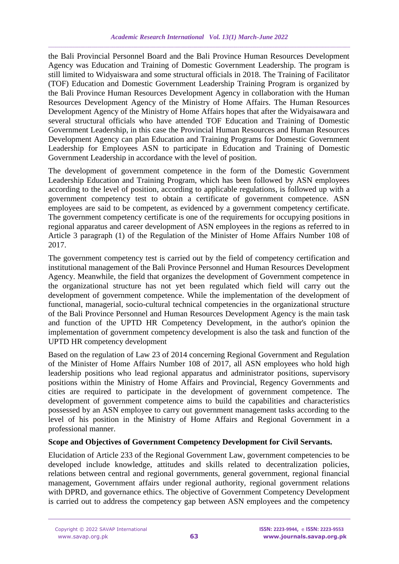the Bali Provincial Personnel Board and the Bali Province Human Resources Development Agency was Education and Training of Domestic Government Leadership. The program is still limited to Widyaiswara and some structural officials in 2018. The Training of Facilitator (TOF) Education and Domestic Government Leadership Training Program is organized by the Bali Province Human Resources Development Agency in collaboration with the Human Resources Development Agency of the Ministry of Home Affairs. The Human Resources Development Agency of the Ministry of Home Affairs hopes that after the Widyaisawara and several structural officials who have attended TOF Education and Training of Domestic Government Leadership, in this case the Provincial Human Resources and Human Resources Development Agency can plan Education and Training Programs for Domestic Government Leadership for Employees ASN to participate in Education and Training of Domestic Government Leadership in accordance with the level of position.

The development of government competence in the form of the Domestic Government Leadership Education and Training Program, which has been followed by ASN employees according to the level of position, according to applicable regulations, is followed up with a government competency test to obtain a certificate of government competence. ASN employees are said to be competent, as evidenced by a government competency certificate. The government competency certificate is one of the requirements for occupying positions in regional apparatus and career development of ASN employees in the regions as referred to in Article 3 paragraph (1) of the Regulation of the Minister of Home Affairs Number 108 of 2017.

The government competency test is carried out by the field of competency certification and institutional management of the Bali Province Personnel and Human Resources Development Agency. Meanwhile, the field that organizes the development of Government competence in the organizational structure has not yet been regulated which field will carry out the development of government competence. While the implementation of the development of functional, managerial, socio-cultural technical competencies in the organizational structure of the Bali Province Personnel and Human Resources Development Agency is the main task and function of the UPTD HR Competency Development, in the author's opinion the implementation of government competency development is also the task and function of the UPTD HR competency development

Based on the regulation of Law 23 of 2014 concerning Regional Government and Regulation of the Minister of Home Affairs Number 108 of 2017, all ASN employees who hold high leadership positions who lead regional apparatus and administrator positions, supervisory positions within the Ministry of Home Affairs and Provincial, Regency Governments and cities are required to participate in the development of government competence. The development of government competence aims to build the capabilities and characteristics possessed by an ASN employee to carry out government management tasks according to the level of his position in the Ministry of Home Affairs and Regional Government in a professional manner.

## **Scope and Objectives of Government Competency Development for Civil Servants.**

Elucidation of Article 233 of the Regional Government Law, government competencies to be developed include knowledge, attitudes and skills related to decentralization policies, relations between central and regional governments, general government, regional financial management, Government affairs under regional authority, regional government relations with DPRD, and governance ethics. The objective of Government Competency Development is carried out to address the competency gap between ASN employees and the competency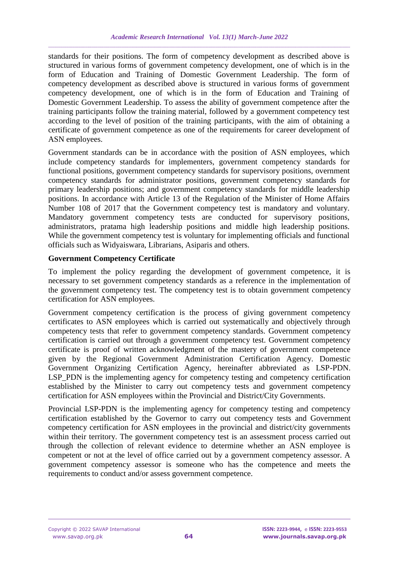standards for their positions. The form of competency development as described above is structured in various forms of government competency development, one of which is in the form of Education and Training of Domestic Government Leadership. The form of competency development as described above is structured in various forms of government competency development, one of which is in the form of Education and Training of Domestic Government Leadership. To assess the ability of government competence after the training participants follow the training material, followed by a government competency test according to the level of position of the training participants, with the aim of obtaining a certificate of government competence as one of the requirements for career development of ASN employees.

Government standards can be in accordance with the position of ASN employees, which include competency standards for implementers, government competency standards for functional positions, government competency standards for supervisory positions, overnment competency standards for administrator positions, government competency standards for primary leadership positions; and government competency standards for middle leadership positions. In accordance with Article 13 of the Regulation of the Minister of Home Affairs Number 108 of 2017 that the Government competency test is mandatory and voluntary. Mandatory government competency tests are conducted for supervisory positions, administrators, pratama high leadership positions and middle high leadership positions. While the government competency test is voluntary for implementing officials and functional officials such as Widyaiswara, Librarians, Asiparis and others.

## **Government Competency Certificate**

To implement the policy regarding the development of government competence, it is necessary to set government competency standards as a reference in the implementation of the government competency test. The competency test is to obtain government competency certification for ASN employees.

Government competency certification is the process of giving government competency certificates to ASN employees which is carried out systematically and objectively through competency tests that refer to government competency standards. Government competency certification is carried out through a government competency test. Government competency certificate is proof of written acknowledgment of the mastery of government competence given by the Regional Government Administration Certification Agency. Domestic Government Organizing Certification Agency, hereinafter abbreviated as LSP-PDN. LSP\_PDN is the implementing agency for competency testing and competency certification established by the Minister to carry out competency tests and government competency certification for ASN employees within the Provincial and District/City Governments.

Provincial LSP-PDN is the implementing agency for competency testing and competency certification established by the Governor to carry out competency tests and Government competency certification for ASN employees in the provincial and district/city governments within their territory. The government competency test is an assessment process carried out through the collection of relevant evidence to determine whether an ASN employee is competent or not at the level of office carried out by a government competency assessor. A government competency assessor is someone who has the competence and meets the requirements to conduct and/or assess government competence.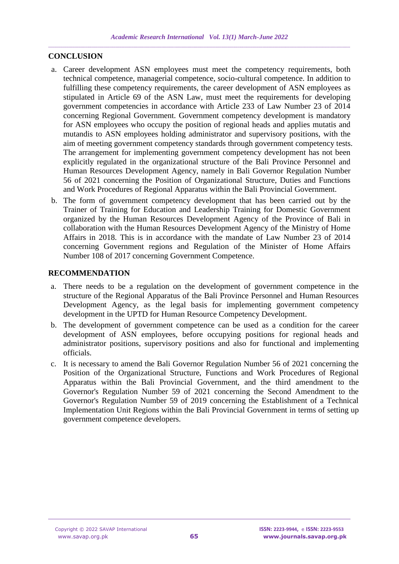## **CONCLUSION**

- a. Career development ASN employees must meet the competency requirements, both technical competence, managerial competence, socio-cultural competence. In addition to fulfilling these competency requirements, the career development of ASN employees as stipulated in Article 69 of the ASN Law, must meet the requirements for developing government competencies in accordance with Article 233 of Law Number 23 of 2014 concerning Regional Government. Government competency development is mandatory for ASN employees who occupy the position of regional heads and applies mutatis and mutandis to ASN employees holding administrator and supervisory positions, with the aim of meeting government competency standards through government competency tests. The arrangement for implementing government competency development has not been explicitly regulated in the organizational structure of the Bali Province Personnel and Human Resources Development Agency, namely in Bali Governor Regulation Number 56 of 2021 concerning the Position of Organizational Structure, Duties and Functions and Work Procedures of Regional Apparatus within the Bali Provincial Government.
- b. The form of government competency development that has been carried out by the Trainer of Training for Education and Leadership Training for Domestic Government organized by the Human Resources Development Agency of the Province of Bali in collaboration with the Human Resources Development Agency of the Ministry of Home Affairs in 2018. This is in accordance with the mandate of Law Number 23 of 2014 concerning Government regions and Regulation of the Minister of Home Affairs Number 108 of 2017 concerning Government Competence.

#### **RECOMMENDATION**

- a. There needs to be a regulation on the development of government competence in the structure of the Regional Apparatus of the Bali Province Personnel and Human Resources Development Agency, as the legal basis for implementing government competency development in the UPTD for Human Resource Competency Development.
- b. The development of government competence can be used as a condition for the career development of ASN employees, before occupying positions for regional heads and administrator positions, supervisory positions and also for functional and implementing officials.
- c. It is necessary to amend the Bali Governor Regulation Number 56 of 2021 concerning the Position of the Organizational Structure, Functions and Work Procedures of Regional Apparatus within the Bali Provincial Government, and the third amendment to the Governor's Regulation Number 59 of 2021 concerning the Second Amendment to the Governor's Regulation Number 59 of 2019 concerning the Establishment of a Technical Implementation Unit Regions within the Bali Provincial Government in terms of setting up government competence developers.